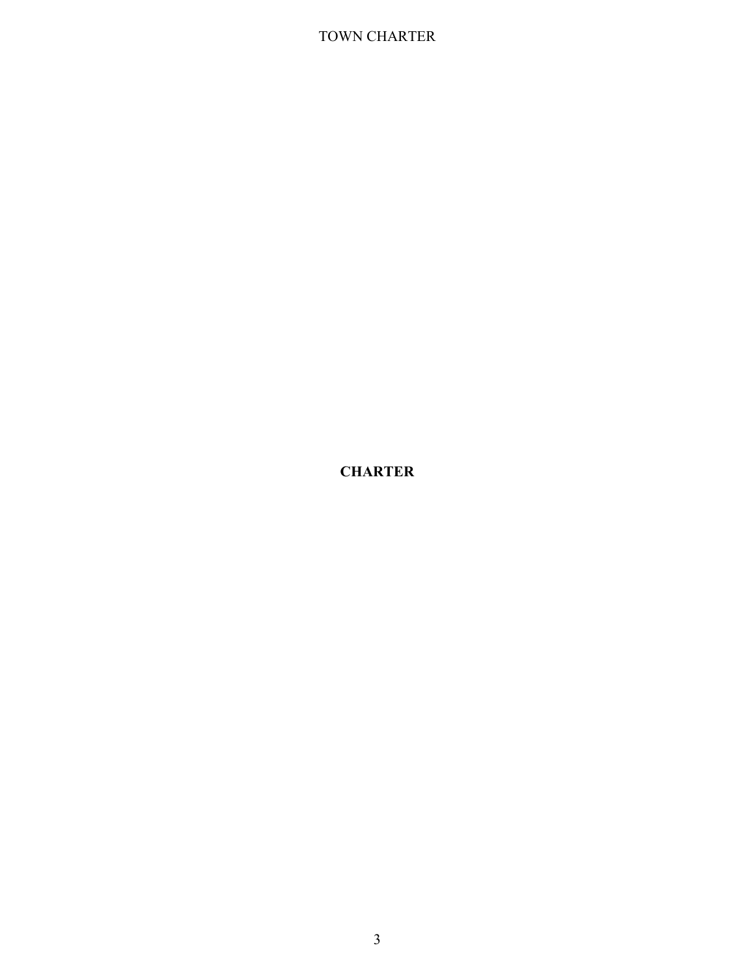**CHARTER**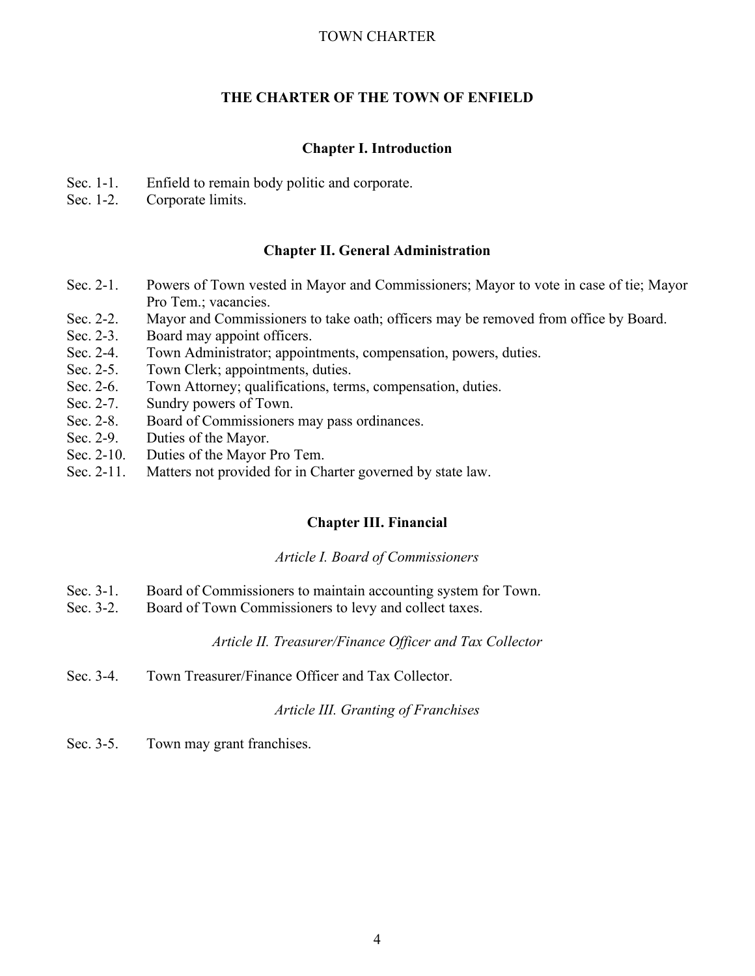# **THE CHARTER OF THE TOWN OF ENFIELD**

# **Chapter I. Introduction**

- Sec. 1-1. Enfield to remain body politic and corporate.<br>Sec. 1-2. Corporate limits.
- Corporate limits.

# **Chapter II. General Administration**

- Sec. 2-1. Powers of Town vested in Mayor and Commissioners; Mayor to vote in case of tie; Mayor Pro Tem.; vacancies.
- Sec. 2-2. Mayor and Commissioners to take oath; officers may be removed from office by Board.
- Sec. 2-3. Board may appoint officers.
- Sec. 2-4. Town Administrator; appointments, compensation, powers, duties.
- Sec. 2-5. Town Clerk; appointments, duties.
- Sec. 2-6. Town Attorney; qualifications, terms, compensation, duties.<br>Sec. 2-7. Sundry powers of Town.
- Sundry powers of Town.
- Sec. 2-8. Board of Commissioners may pass ordinances.
- Sec. 2-9. Duties of the Mayor.
- Sec. 2-10. Duties of the Mayor Pro Tem.
- Sec. 2-11. Matters not provided for in Charter governed by state law.

# **Chapter III. Financial**

## *Article I. Board of Commissioners*

- Sec. 3-1. Board of Commissioners to maintain accounting system for Town.
- Sec. 3-2. Board of Town Commissioners to levy and collect taxes.

# *Article II. Treasurer/Finance Officer and Tax Collector*

Sec. 3-4. Town Treasurer/Finance Officer and Tax Collector.

# *Article III. Granting of Franchises*

Sec. 3-5. Town may grant franchises.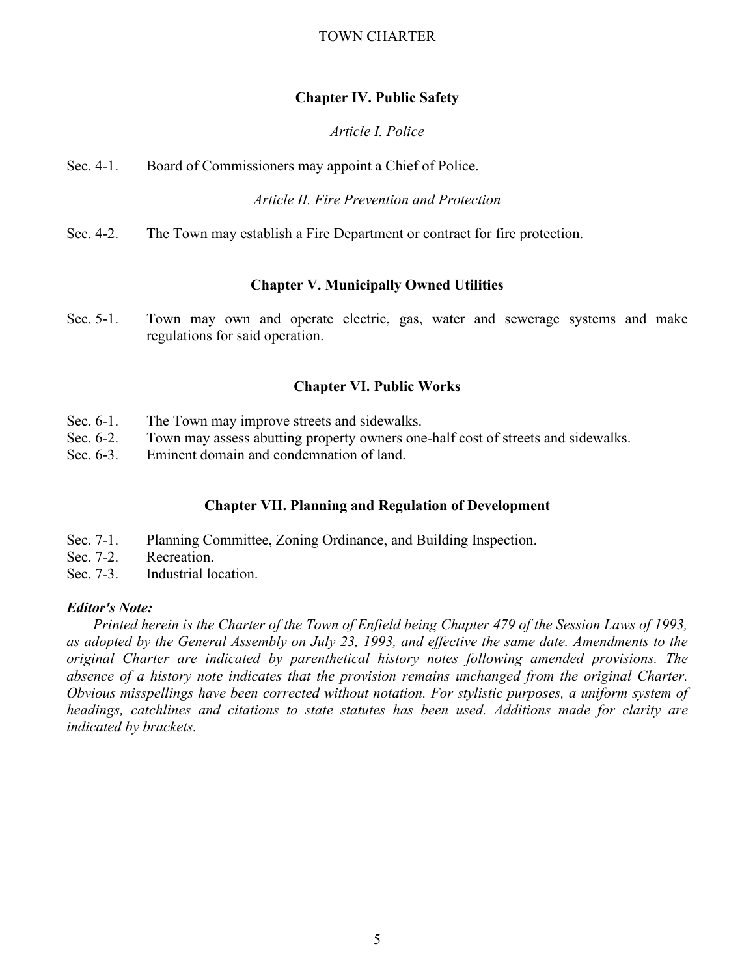# **Chapter IV. Public Safety**

# *Article I. Police*

Sec. 4-1. Board of Commissioners may appoint a Chief of Police.

*Article II. Fire Prevention and Protection*

Sec. 4-2. The Town may establish a Fire Department or contract for fire protection.

# **Chapter V. Municipally Owned Utilities**

Sec. 5-1. Town may own and operate electric, gas, water and sewerage systems and make regulations for said operation.

# **Chapter VI. Public Works**

- Sec. 6-1. The Town may improve streets and sidewalks.
- Sec. 6-2. Town may assess abutting property owners one-half cost of streets and sidewalks.
- Sec. 6-3. Eminent domain and condemnation of land.

# **Chapter VII. Planning and Regulation of Development**

- Sec. 7-1. Planning Committee, Zoning Ordinance, and Building Inspection.
- Sec. 7-2. Recreation.
- Sec. 7-3. Industrial location.

# *Editor's Note:*

 *Printed herein is the Charter of the Town of Enfield being Chapter 479 of the Session Laws of 1993,*  as adopted by the General Assembly on July 23, 1993, and effective the same date. Amendments to the *original Charter are indicated by parenthetical history notes following amended provisions. The absence of a history note indicates that the provision remains unchanged from the original Charter. Obvious misspellings have been corrected without notation. For stylistic purposes, a uniform system of headings, catchlines and citations to state statutes has been used. Additions made for clarity are indicated by brackets.*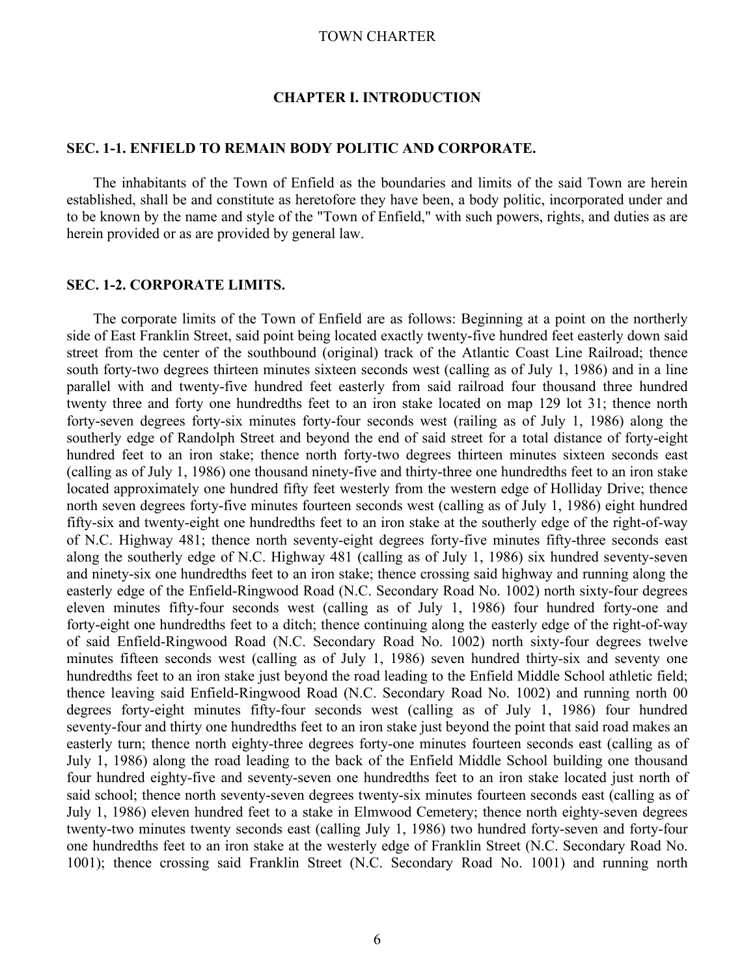## **CHAPTER I. INTRODUCTION**

## **SEC. 1-1. ENFIELD TO REMAIN BODY POLITIC AND CORPORATE.**

The inhabitants of the Town of Enfield as the boundaries and limits of the said Town are herein established, shall be and constitute as heretofore they have been, a body politic, incorporated under and to be known by the name and style of the "Town of Enfield," with such powers, rights, and duties as are herein provided or as are provided by general law.

## **SEC. 1-2. CORPORATE LIMITS.**

The corporate limits of the Town of Enfield are as follows: Beginning at a point on the northerly side of East Franklin Street, said point being located exactly twenty-five hundred feet easterly down said street from the center of the southbound (original) track of the Atlantic Coast Line Railroad; thence south forty-two degrees thirteen minutes sixteen seconds west (calling as of July 1, 1986) and in a line parallel with and twenty-five hundred feet easterly from said railroad four thousand three hundred twenty three and forty one hundredths feet to an iron stake located on map 129 lot 31; thence north forty-seven degrees forty-six minutes forty-four seconds west (railing as of July 1, 1986) along the southerly edge of Randolph Street and beyond the end of said street for a total distance of forty-eight hundred feet to an iron stake; thence north forty-two degrees thirteen minutes sixteen seconds east (calling as of July 1, 1986) one thousand ninety-five and thirty-three one hundredths feet to an iron stake located approximately one hundred fifty feet westerly from the western edge of Holliday Drive; thence north seven degrees forty-five minutes fourteen seconds west (calling as of July 1, 1986) eight hundred fifty-six and twenty-eight one hundredths feet to an iron stake at the southerly edge of the right-of-way of N.C. Highway 481; thence north seventy-eight degrees forty-five minutes fifty-three seconds east along the southerly edge of N.C. Highway 481 (calling as of July 1, 1986) six hundred seventy-seven and ninety-six one hundredths feet to an iron stake; thence crossing said highway and running along the easterly edge of the Enfield-Ringwood Road (N.C. Secondary Road No. 1002) north sixty-four degrees eleven minutes fifty-four seconds west (calling as of July 1, 1986) four hundred forty-one and forty-eight one hundredths feet to a ditch; thence continuing along the easterly edge of the right-of-way of said Enfield-Ringwood Road (N.C. Secondary Road No. 1002) north sixty-four degrees twelve minutes fifteen seconds west (calling as of July 1, 1986) seven hundred thirty-six and seventy one hundredths feet to an iron stake just beyond the road leading to the Enfield Middle School athletic field; thence leaving said Enfield-Ringwood Road (N.C. Secondary Road No. 1002) and running north 00 degrees forty-eight minutes fifty-four seconds west (calling as of July 1, 1986) four hundred seventy-four and thirty one hundredths feet to an iron stake just beyond the point that said road makes an easterly turn; thence north eighty-three degrees forty-one minutes fourteen seconds east (calling as of July 1, 1986) along the road leading to the back of the Enfield Middle School building one thousand four hundred eighty-five and seventy-seven one hundredths feet to an iron stake located just north of said school; thence north seventy-seven degrees twenty-six minutes fourteen seconds east (calling as of July 1, 1986) eleven hundred feet to a stake in Elmwood Cemetery; thence north eighty-seven degrees twenty-two minutes twenty seconds east (calling July 1, 1986) two hundred forty-seven and forty-four one hundredths feet to an iron stake at the westerly edge of Franklin Street (N.C. Secondary Road No. 1001); thence crossing said Franklin Street (N.C. Secondary Road No. 1001) and running north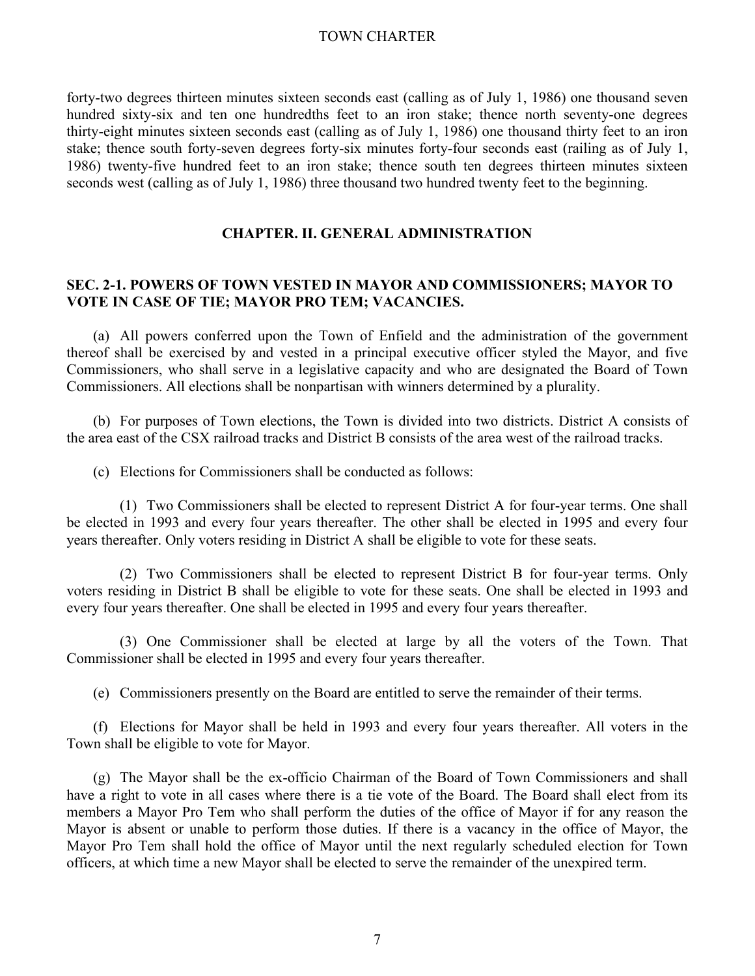forty-two degrees thirteen minutes sixteen seconds east (calling as of July 1, 1986) one thousand seven hundred sixty-six and ten one hundredths feet to an iron stake; thence north seventy-one degrees thirty-eight minutes sixteen seconds east (calling as of July 1, 1986) one thousand thirty feet to an iron stake; thence south forty-seven degrees forty-six minutes forty-four seconds east (railing as of July 1, 1986) twenty-five hundred feet to an iron stake; thence south ten degrees thirteen minutes sixteen seconds west (calling as of July 1, 1986) three thousand two hundred twenty feet to the beginning.

# **CHAPTER. II. GENERAL ADMINISTRATION**

# **SEC. 2-1. POWERS OF TOWN VESTED IN MAYOR AND COMMISSIONERS; MAYOR TO VOTE IN CASE OF TIE; MAYOR PRO TEM; VACANCIES.**

(a) All powers conferred upon the Town of Enfield and the administration of the government thereof shall be exercised by and vested in a principal executive officer styled the Mayor, and five Commissioners, who shall serve in a legislative capacity and who are designated the Board of Town Commissioners. All elections shall be nonpartisan with winners determined by a plurality.

(b) For purposes of Town elections, the Town is divided into two districts. District A consists of the area east of the CSX railroad tracks and District B consists of the area west of the railroad tracks.

(c) Elections for Commissioners shall be conducted as follows:

 (1) Two Commissioners shall be elected to represent District A for four-year terms. One shall be elected in 1993 and every four years thereafter. The other shall be elected in 1995 and every four years thereafter. Only voters residing in District A shall be eligible to vote for these seats.

 (2) Two Commissioners shall be elected to represent District B for four-year terms. Only voters residing in District B shall be eligible to vote for these seats. One shall be elected in 1993 and every four years thereafter. One shall be elected in 1995 and every four years thereafter.

 (3) One Commissioner shall be elected at large by all the voters of the Town. That Commissioner shall be elected in 1995 and every four years thereafter.

(e) Commissioners presently on the Board are entitled to serve the remainder of their terms.

(f) Elections for Mayor shall be held in 1993 and every four years thereafter. All voters in the Town shall be eligible to vote for Mayor.

(g) The Mayor shall be the ex-officio Chairman of the Board of Town Commissioners and shall have a right to vote in all cases where there is a tie vote of the Board. The Board shall elect from its members a Mayor Pro Tem who shall perform the duties of the office of Mayor if for any reason the Mayor is absent or unable to perform those duties. If there is a vacancy in the office of Mayor, the Mayor Pro Tem shall hold the office of Mayor until the next regularly scheduled election for Town officers, at which time a new Mayor shall be elected to serve the remainder of the unexpired term.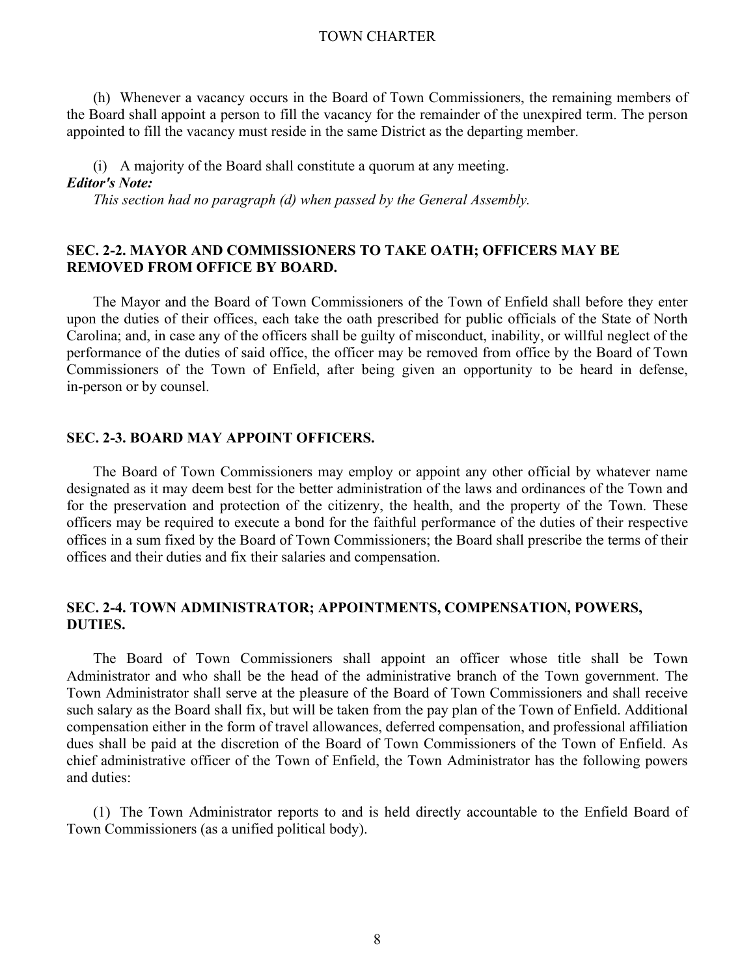(h) Whenever a vacancy occurs in the Board of Town Commissioners, the remaining members of the Board shall appoint a person to fill the vacancy for the remainder of the unexpired term. The person appointed to fill the vacancy must reside in the same District as the departing member.

(i) A majority of the Board shall constitute a quorum at any meeting. *Editor's Note:*

 *This section had no paragraph (d) when passed by the General Assembly.*

# **SEC. 2-2. MAYOR AND COMMISSIONERS TO TAKE OATH; OFFICERS MAY BE REMOVED FROM OFFICE BY BOARD.**

The Mayor and the Board of Town Commissioners of the Town of Enfield shall before they enter upon the duties of their offices, each take the oath prescribed for public officials of the State of North Carolina; and, in case any of the officers shall be guilty of misconduct, inability, or willful neglect of the performance of the duties of said office, the officer may be removed from office by the Board of Town Commissioners of the Town of Enfield, after being given an opportunity to be heard in defense, in-person or by counsel.

## **SEC. 2-3. BOARD MAY APPOINT OFFICERS.**

The Board of Town Commissioners may employ or appoint any other official by whatever name designated as it may deem best for the better administration of the laws and ordinances of the Town and for the preservation and protection of the citizenry, the health, and the property of the Town. These officers may be required to execute a bond for the faithful performance of the duties of their respective offices in a sum fixed by the Board of Town Commissioners; the Board shall prescribe the terms of their offices and their duties and fix their salaries and compensation.

## **SEC. 2-4. TOWN ADMINISTRATOR; APPOINTMENTS, COMPENSATION, POWERS, DUTIES.**

The Board of Town Commissioners shall appoint an officer whose title shall be Town Administrator and who shall be the head of the administrative branch of the Town government. The Town Administrator shall serve at the pleasure of the Board of Town Commissioners and shall receive such salary as the Board shall fix, but will be taken from the pay plan of the Town of Enfield. Additional compensation either in the form of travel allowances, deferred compensation, and professional affiliation dues shall be paid at the discretion of the Board of Town Commissioners of the Town of Enfield. As chief administrative officer of the Town of Enfield, the Town Administrator has the following powers and duties:

(1) The Town Administrator reports to and is held directly accountable to the Enfield Board of Town Commissioners (as a unified political body).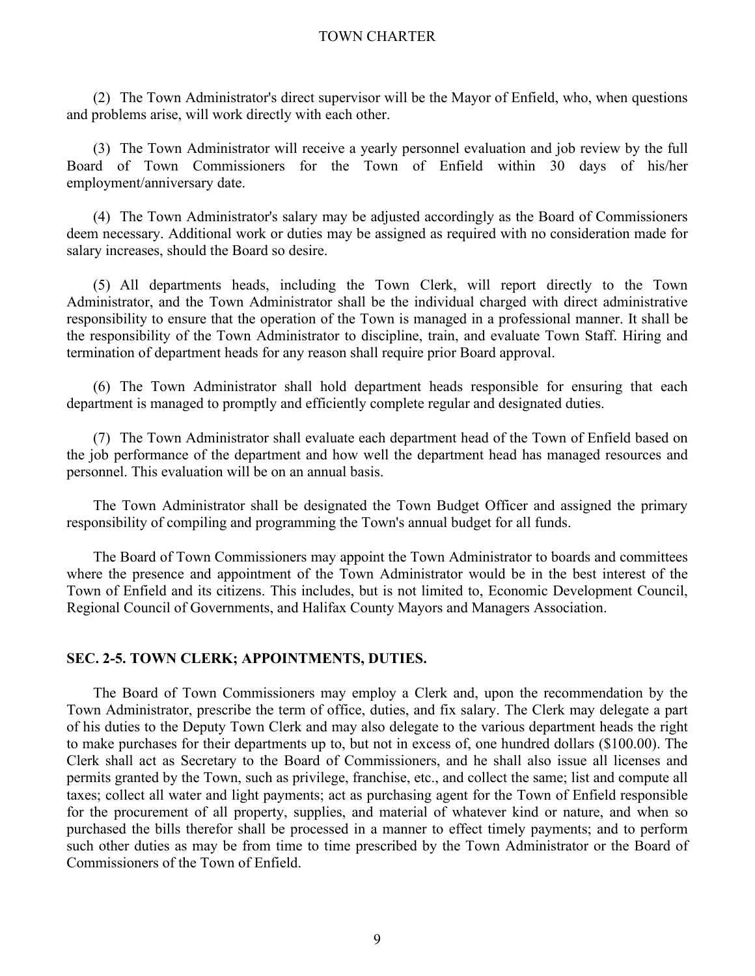(2) The Town Administrator's direct supervisor will be the Mayor of Enfield, who, when questions and problems arise, will work directly with each other.

(3) The Town Administrator will receive a yearly personnel evaluation and job review by the full Board of Town Commissioners for the Town of Enfield within 30 days of his/her employment/anniversary date.

(4) The Town Administrator's salary may be adjusted accordingly as the Board of Commissioners deem necessary. Additional work or duties may be assigned as required with no consideration made for salary increases, should the Board so desire.

(5) All departments heads, including the Town Clerk, will report directly to the Town Administrator, and the Town Administrator shall be the individual charged with direct administrative responsibility to ensure that the operation of the Town is managed in a professional manner. It shall be the responsibility of the Town Administrator to discipline, train, and evaluate Town Staff. Hiring and termination of department heads for any reason shall require prior Board approval.

(6) The Town Administrator shall hold department heads responsible for ensuring that each department is managed to promptly and efficiently complete regular and designated duties.

(7) The Town Administrator shall evaluate each department head of the Town of Enfield based on the job performance of the department and how well the department head has managed resources and personnel. This evaluation will be on an annual basis.

The Town Administrator shall be designated the Town Budget Officer and assigned the primary responsibility of compiling and programming the Town's annual budget for all funds.

The Board of Town Commissioners may appoint the Town Administrator to boards and committees where the presence and appointment of the Town Administrator would be in the best interest of the Town of Enfield and its citizens. This includes, but is not limited to, Economic Development Council, Regional Council of Governments, and Halifax County Mayors and Managers Association.

## **SEC. 2-5. TOWN CLERK; APPOINTMENTS, DUTIES.**

The Board of Town Commissioners may employ a Clerk and, upon the recommendation by the Town Administrator, prescribe the term of office, duties, and fix salary. The Clerk may delegate a part of his duties to the Deputy Town Clerk and may also delegate to the various department heads the right to make purchases for their departments up to, but not in excess of, one hundred dollars (\$100.00). The Clerk shall act as Secretary to the Board of Commissioners, and he shall also issue all licenses and permits granted by the Town, such as privilege, franchise, etc., and collect the same; list and compute all taxes; collect all water and light payments; act as purchasing agent for the Town of Enfield responsible for the procurement of all property, supplies, and material of whatever kind or nature, and when so purchased the bills therefor shall be processed in a manner to effect timely payments; and to perform such other duties as may be from time to time prescribed by the Town Administrator or the Board of Commissioners of the Town of Enfield.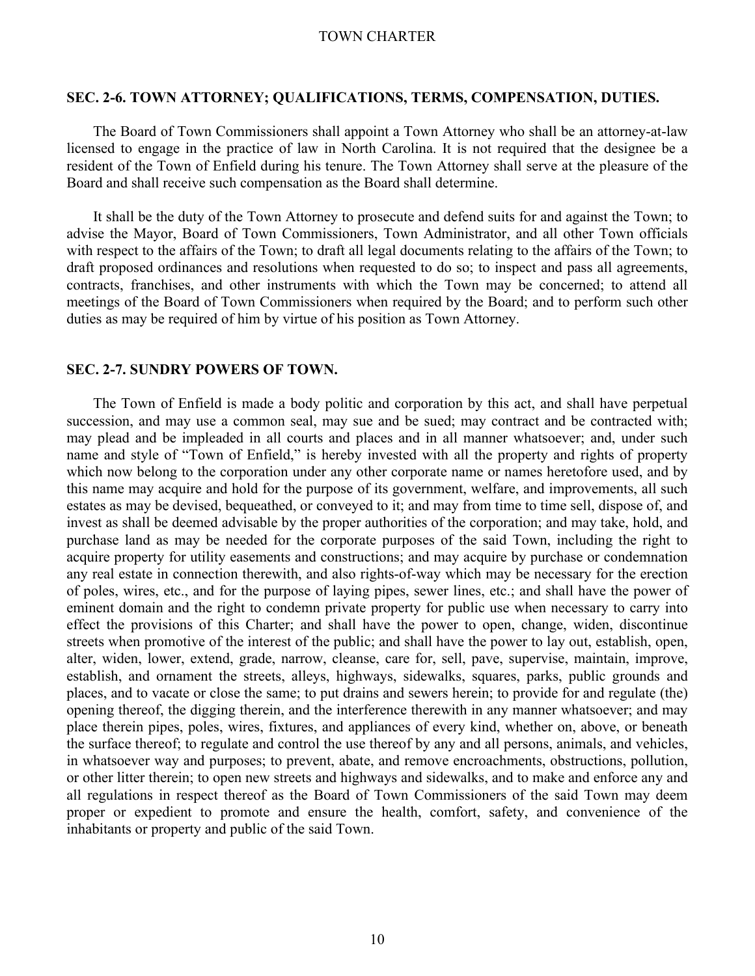#### **SEC. 2-6. TOWN ATTORNEY; QUALIFICATIONS, TERMS, COMPENSATION, DUTIES.**

The Board of Town Commissioners shall appoint a Town Attorney who shall be an attorney-at-law licensed to engage in the practice of law in North Carolina. It is not required that the designee be a resident of the Town of Enfield during his tenure. The Town Attorney shall serve at the pleasure of the Board and shall receive such compensation as the Board shall determine.

It shall be the duty of the Town Attorney to prosecute and defend suits for and against the Town; to advise the Mayor, Board of Town Commissioners, Town Administrator, and all other Town officials with respect to the affairs of the Town; to draft all legal documents relating to the affairs of the Town; to draft proposed ordinances and resolutions when requested to do so; to inspect and pass all agreements, contracts, franchises, and other instruments with which the Town may be concerned; to attend all meetings of the Board of Town Commissioners when required by the Board; and to perform such other duties as may be required of him by virtue of his position as Town Attorney.

### **SEC. 2-7. SUNDRY POWERS OF TOWN.**

The Town of Enfield is made a body politic and corporation by this act, and shall have perpetual succession, and may use a common seal, may sue and be sued; may contract and be contracted with; may plead and be impleaded in all courts and places and in all manner whatsoever; and, under such name and style of "Town of Enfield," is hereby invested with all the property and rights of property which now belong to the corporation under any other corporate name or names heretofore used, and by this name may acquire and hold for the purpose of its government, welfare, and improvements, all such estates as may be devised, bequeathed, or conveyed to it; and may from time to time sell, dispose of, and invest as shall be deemed advisable by the proper authorities of the corporation; and may take, hold, and purchase land as may be needed for the corporate purposes of the said Town, including the right to acquire property for utility easements and constructions; and may acquire by purchase or condemnation any real estate in connection therewith, and also rights-of-way which may be necessary for the erection of poles, wires, etc., and for the purpose of laying pipes, sewer lines, etc.; and shall have the power of eminent domain and the right to condemn private property for public use when necessary to carry into effect the provisions of this Charter; and shall have the power to open, change, widen, discontinue streets when promotive of the interest of the public; and shall have the power to lay out, establish, open, alter, widen, lower, extend, grade, narrow, cleanse, care for, sell, pave, supervise, maintain, improve, establish, and ornament the streets, alleys, highways, sidewalks, squares, parks, public grounds and places, and to vacate or close the same; to put drains and sewers herein; to provide for and regulate (the) opening thereof, the digging therein, and the interference therewith in any manner whatsoever; and may place therein pipes, poles, wires, fixtures, and appliances of every kind, whether on, above, or beneath the surface thereof; to regulate and control the use thereof by any and all persons, animals, and vehicles, in whatsoever way and purposes; to prevent, abate, and remove encroachments, obstructions, pollution, or other litter therein; to open new streets and highways and sidewalks, and to make and enforce any and all regulations in respect thereof as the Board of Town Commissioners of the said Town may deem proper or expedient to promote and ensure the health, comfort, safety, and convenience of the inhabitants or property and public of the said Town.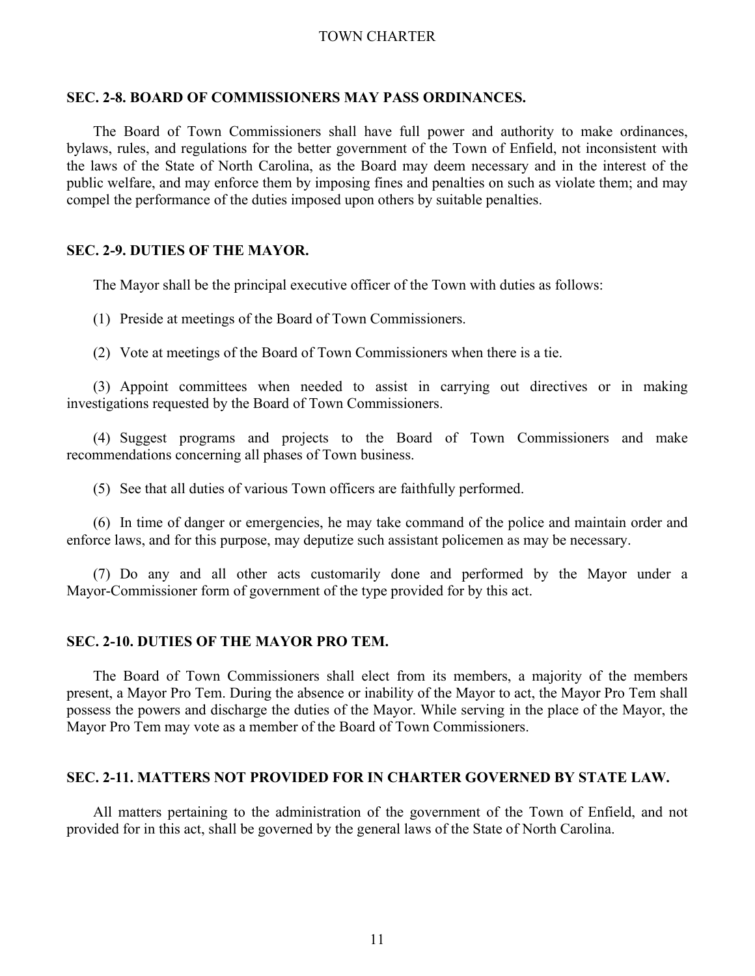#### **SEC. 2-8. BOARD OF COMMISSIONERS MAY PASS ORDINANCES.**

The Board of Town Commissioners shall have full power and authority to make ordinances, bylaws, rules, and regulations for the better government of the Town of Enfield, not inconsistent with the laws of the State of North Carolina, as the Board may deem necessary and in the interest of the public welfare, and may enforce them by imposing fines and penalties on such as violate them; and may compel the performance of the duties imposed upon others by suitable penalties.

### **SEC. 2-9. DUTIES OF THE MAYOR.**

The Mayor shall be the principal executive officer of the Town with duties as follows:

(1) Preside at meetings of the Board of Town Commissioners.

(2) Vote at meetings of the Board of Town Commissioners when there is a tie.

(3) Appoint committees when needed to assist in carrying out directives or in making investigations requested by the Board of Town Commissioners.

(4) Suggest programs and projects to the Board of Town Commissioners and make recommendations concerning all phases of Town business.

(5) See that all duties of various Town officers are faithfully performed.

(6) In time of danger or emergencies, he may take command of the police and maintain order and enforce laws, and for this purpose, may deputize such assistant policemen as may be necessary.

(7) Do any and all other acts customarily done and performed by the Mayor under a Mayor-Commissioner form of government of the type provided for by this act.

#### **SEC. 2-10. DUTIES OF THE MAYOR PRO TEM.**

The Board of Town Commissioners shall elect from its members, a majority of the members present, a Mayor Pro Tem. During the absence or inability of the Mayor to act, the Mayor Pro Tem shall possess the powers and discharge the duties of the Mayor. While serving in the place of the Mayor, the Mayor Pro Tem may vote as a member of the Board of Town Commissioners.

#### **SEC. 2-11. MATTERS NOT PROVIDED FOR IN CHARTER GOVERNED BY STATE LAW.**

All matters pertaining to the administration of the government of the Town of Enfield, and not provided for in this act, shall be governed by the general laws of the State of North Carolina.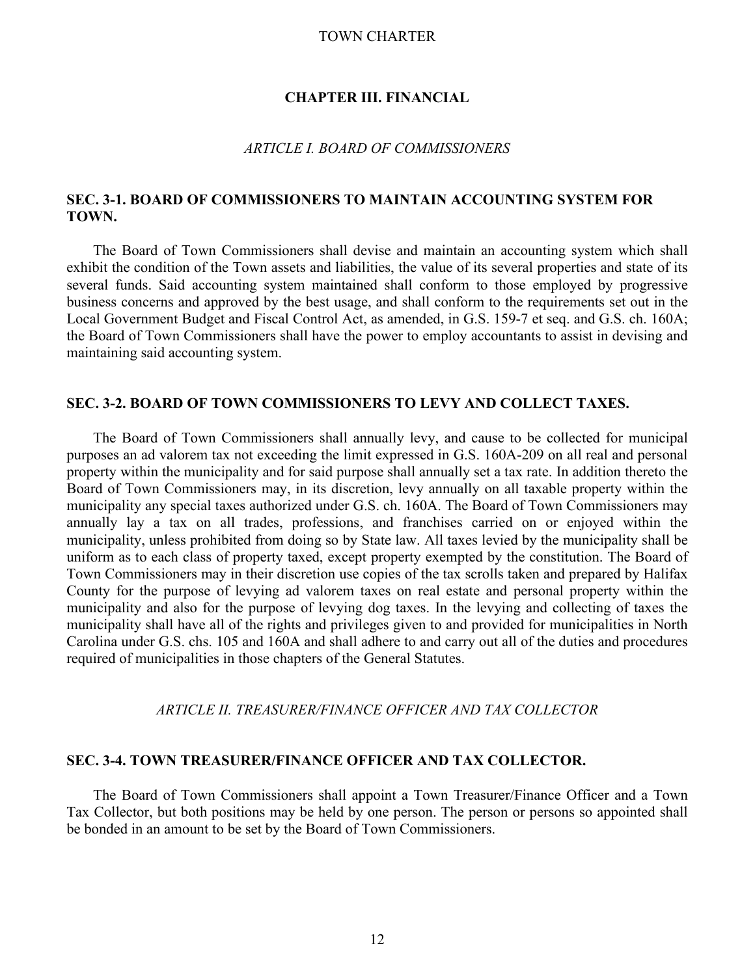## **CHAPTER III. FINANCIAL**

## *ARTICLE I. BOARD OF COMMISSIONERS*

# **SEC. 3-1. BOARD OF COMMISSIONERS TO MAINTAIN ACCOUNTING SYSTEM FOR TOWN.**

The Board of Town Commissioners shall devise and maintain an accounting system which shall exhibit the condition of the Town assets and liabilities, the value of its several properties and state of its several funds. Said accounting system maintained shall conform to those employed by progressive business concerns and approved by the best usage, and shall conform to the requirements set out in the Local Government Budget and Fiscal Control Act, as amended, in G.S. 159-7 et seq. and G.S. ch. 160A; the Board of Town Commissioners shall have the power to employ accountants to assist in devising and maintaining said accounting system.

# **SEC. 3-2. BOARD OF TOWN COMMISSIONERS TO LEVY AND COLLECT TAXES.**

The Board of Town Commissioners shall annually levy, and cause to be collected for municipal purposes an ad valorem tax not exceeding the limit expressed in G.S. 160A-209 on all real and personal property within the municipality and for said purpose shall annually set a tax rate. In addition thereto the Board of Town Commissioners may, in its discretion, levy annually on all taxable property within the municipality any special taxes authorized under G.S. ch. 160A. The Board of Town Commissioners may annually lay a tax on all trades, professions, and franchises carried on or enjoyed within the municipality, unless prohibited from doing so by State law. All taxes levied by the municipality shall be uniform as to each class of property taxed, except property exempted by the constitution. The Board of Town Commissioners may in their discretion use copies of the tax scrolls taken and prepared by Halifax County for the purpose of levying ad valorem taxes on real estate and personal property within the municipality and also for the purpose of levying dog taxes. In the levying and collecting of taxes the municipality shall have all of the rights and privileges given to and provided for municipalities in North Carolina under G.S. chs. 105 and 160A and shall adhere to and carry out all of the duties and procedures required of municipalities in those chapters of the General Statutes.

#### *ARTICLE II. TREASURER/FINANCE OFFICER AND TAX COLLECTOR*

# **SEC. 3-4. TOWN TREASURER/FINANCE OFFICER AND TAX COLLECTOR.**

The Board of Town Commissioners shall appoint a Town Treasurer/Finance Officer and a Town Tax Collector, but both positions may be held by one person. The person or persons so appointed shall be bonded in an amount to be set by the Board of Town Commissioners.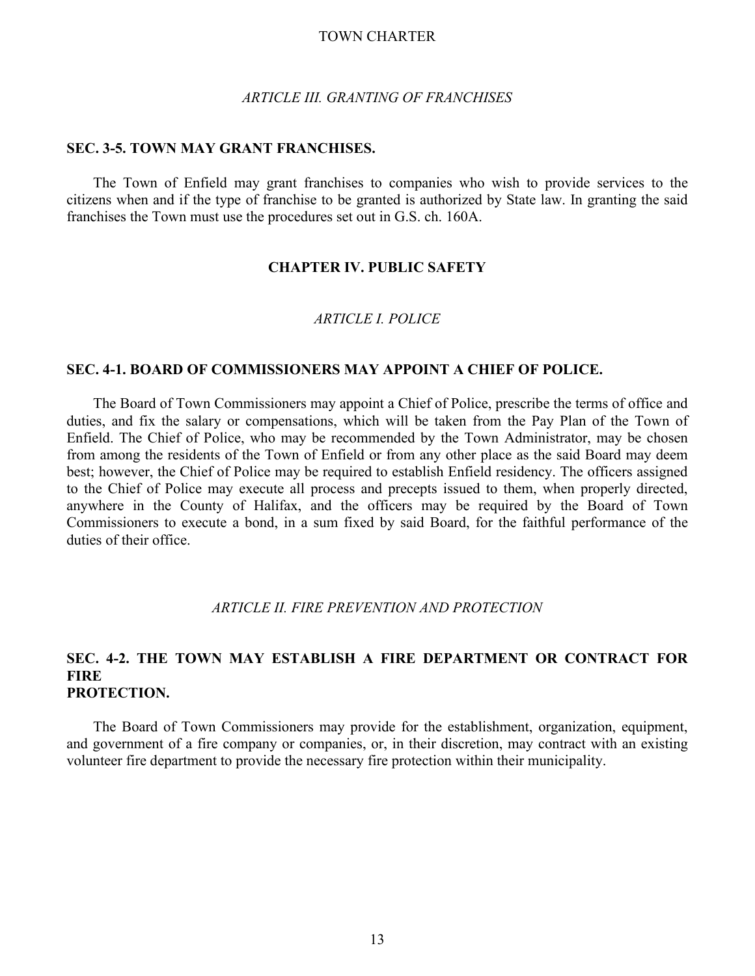#### *ARTICLE III. GRANTING OF FRANCHISES*

## **SEC. 3-5. TOWN MAY GRANT FRANCHISES.**

The Town of Enfield may grant franchises to companies who wish to provide services to the citizens when and if the type of franchise to be granted is authorized by State law. In granting the said franchises the Town must use the procedures set out in G.S. ch. 160A.

## **CHAPTER IV. PUBLIC SAFETY**

# *ARTICLE I. POLICE*

## **SEC. 4-1. BOARD OF COMMISSIONERS MAY APPOINT A CHIEF OF POLICE.**

The Board of Town Commissioners may appoint a Chief of Police, prescribe the terms of office and duties, and fix the salary or compensations, which will be taken from the Pay Plan of the Town of Enfield. The Chief of Police, who may be recommended by the Town Administrator, may be chosen from among the residents of the Town of Enfield or from any other place as the said Board may deem best; however, the Chief of Police may be required to establish Enfield residency. The officers assigned to the Chief of Police may execute all process and precepts issued to them, when properly directed, anywhere in the County of Halifax, and the officers may be required by the Board of Town Commissioners to execute a bond, in a sum fixed by said Board, for the faithful performance of the duties of their office.

## *ARTICLE II. FIRE PREVENTION AND PROTECTION*

# **SEC. 4-2. THE TOWN MAY ESTABLISH A FIRE DEPARTMENT OR CONTRACT FOR FIRE PROTECTION.**

The Board of Town Commissioners may provide for the establishment, organization, equipment, and government of a fire company or companies, or, in their discretion, may contract with an existing volunteer fire department to provide the necessary fire protection within their municipality.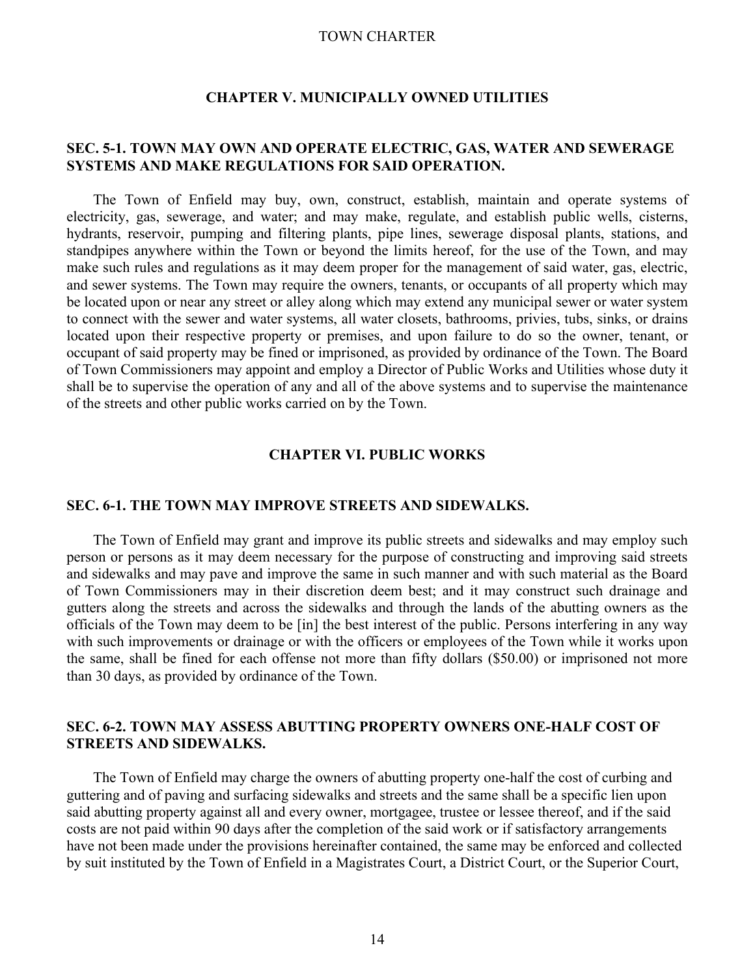## **CHAPTER V. MUNICIPALLY OWNED UTILITIES**

# **SEC. 5-1. TOWN MAY OWN AND OPERATE ELECTRIC, GAS, WATER AND SEWERAGE SYSTEMS AND MAKE REGULATIONS FOR SAID OPERATION.**

The Town of Enfield may buy, own, construct, establish, maintain and operate systems of electricity, gas, sewerage, and water; and may make, regulate, and establish public wells, cisterns, hydrants, reservoir, pumping and filtering plants, pipe lines, sewerage disposal plants, stations, and standpipes anywhere within the Town or beyond the limits hereof, for the use of the Town, and may make such rules and regulations as it may deem proper for the management of said water, gas, electric, and sewer systems. The Town may require the owners, tenants, or occupants of all property which may be located upon or near any street or alley along which may extend any municipal sewer or water system to connect with the sewer and water systems, all water closets, bathrooms, privies, tubs, sinks, or drains located upon their respective property or premises, and upon failure to do so the owner, tenant, or occupant of said property may be fined or imprisoned, as provided by ordinance of the Town. The Board of Town Commissioners may appoint and employ a Director of Public Works and Utilities whose duty it shall be to supervise the operation of any and all of the above systems and to supervise the maintenance of the streets and other public works carried on by the Town.

# **CHAPTER VI. PUBLIC WORKS**

#### **SEC. 6-1. THE TOWN MAY IMPROVE STREETS AND SIDEWALKS.**

The Town of Enfield may grant and improve its public streets and sidewalks and may employ such person or persons as it may deem necessary for the purpose of constructing and improving said streets and sidewalks and may pave and improve the same in such manner and with such material as the Board of Town Commissioners may in their discretion deem best; and it may construct such drainage and gutters along the streets and across the sidewalks and through the lands of the abutting owners as the officials of the Town may deem to be [in] the best interest of the public. Persons interfering in any way with such improvements or drainage or with the officers or employees of the Town while it works upon the same, shall be fined for each offense not more than fifty dollars (\$50.00) or imprisoned not more than 30 days, as provided by ordinance of the Town.

# **SEC. 6-2. TOWN MAY ASSESS ABUTTING PROPERTY OWNERS ONE-HALF COST OF STREETS AND SIDEWALKS.**

 The Town of Enfield may charge the owners of abutting property one-half the cost of curbing and guttering and of paving and surfacing sidewalks and streets and the same shall be a specific lien upon said abutting property against all and every owner, mortgagee, trustee or lessee thereof, and if the said costs are not paid within 90 days after the completion of the said work or if satisfactory arrangements have not been made under the provisions hereinafter contained, the same may be enforced and collected by suit instituted by the Town of Enfield in a Magistrates Court, a District Court, or the Superior Court,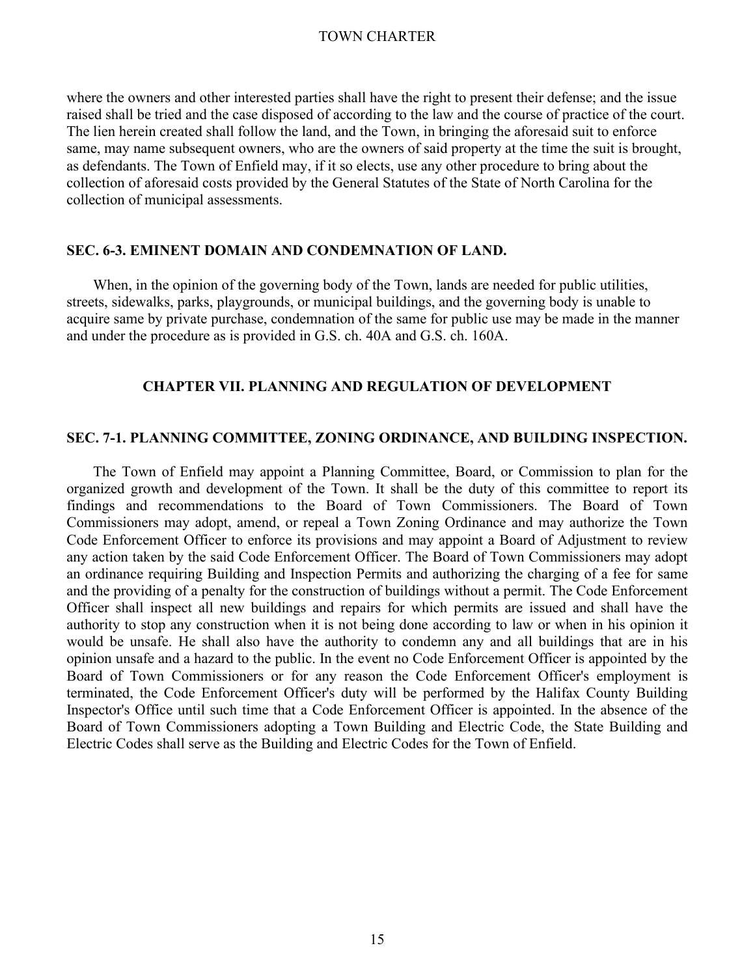where the owners and other interested parties shall have the right to present their defense; and the issue raised shall be tried and the case disposed of according to the law and the course of practice of the court. The lien herein created shall follow the land, and the Town, in bringing the aforesaid suit to enforce same, may name subsequent owners, who are the owners of said property at the time the suit is brought, as defendants. The Town of Enfield may, if it so elects, use any other procedure to bring about the collection of aforesaid costs provided by the General Statutes of the State of North Carolina for the collection of municipal assessments.

## **SEC. 6-3. EMINENT DOMAIN AND CONDEMNATION OF LAND.**

 When, in the opinion of the governing body of the Town, lands are needed for public utilities, streets, sidewalks, parks, playgrounds, or municipal buildings, and the governing body is unable to acquire same by private purchase, condemnation of the same for public use may be made in the manner and under the procedure as is provided in G.S. ch. 40A and G.S. ch. 160A.

## **CHAPTER VII. PLANNING AND REGULATION OF DEVELOPMENT**

#### **SEC. 7-1. PLANNING COMMITTEE, ZONING ORDINANCE, AND BUILDING INSPECTION.**

The Town of Enfield may appoint a Planning Committee, Board, or Commission to plan for the organized growth and development of the Town. It shall be the duty of this committee to report its findings and recommendations to the Board of Town Commissioners. The Board of Town Commissioners may adopt, amend, or repeal a Town Zoning Ordinance and may authorize the Town Code Enforcement Officer to enforce its provisions and may appoint a Board of Adjustment to review any action taken by the said Code Enforcement Officer. The Board of Town Commissioners may adopt an ordinance requiring Building and Inspection Permits and authorizing the charging of a fee for same and the providing of a penalty for the construction of buildings without a permit. The Code Enforcement Officer shall inspect all new buildings and repairs for which permits are issued and shall have the authority to stop any construction when it is not being done according to law or when in his opinion it would be unsafe. He shall also have the authority to condemn any and all buildings that are in his opinion unsafe and a hazard to the public. In the event no Code Enforcement Officer is appointed by the Board of Town Commissioners or for any reason the Code Enforcement Officer's employment is terminated, the Code Enforcement Officer's duty will be performed by the Halifax County Building Inspector's Office until such time that a Code Enforcement Officer is appointed. In the absence of the Board of Town Commissioners adopting a Town Building and Electric Code, the State Building and Electric Codes shall serve as the Building and Electric Codes for the Town of Enfield.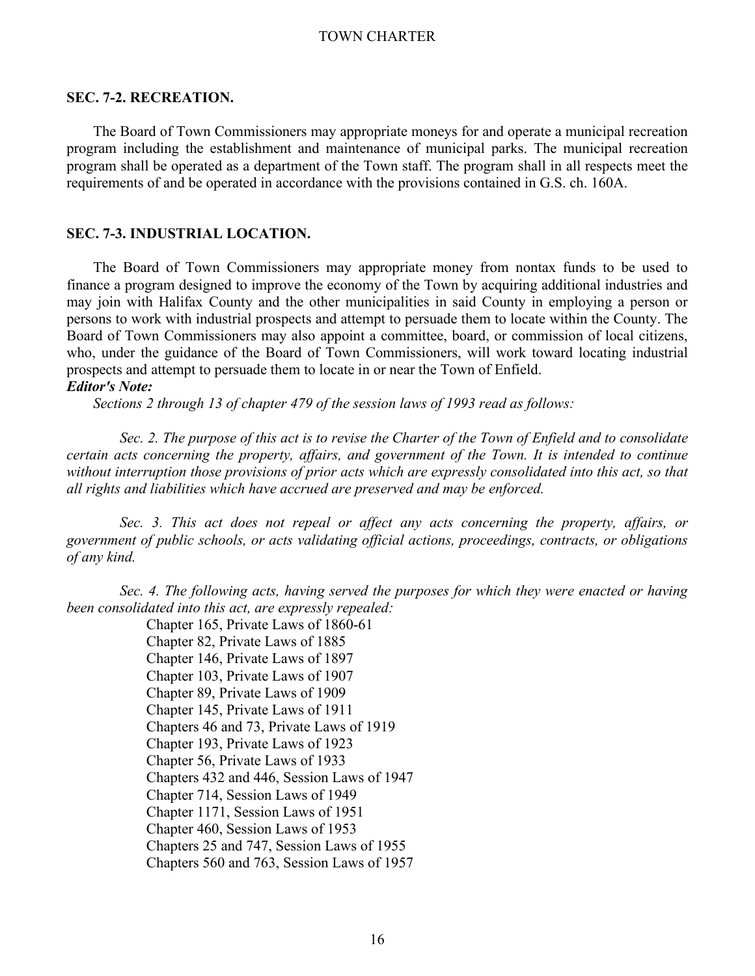## **SEC. 7-2. RECREATION.**

The Board of Town Commissioners may appropriate moneys for and operate a municipal recreation program including the establishment and maintenance of municipal parks. The municipal recreation program shall be operated as a department of the Town staff. The program shall in all respects meet the requirements of and be operated in accordance with the provisions contained in G.S. ch. 160A.

### **SEC. 7-3. INDUSTRIAL LOCATION.**

The Board of Town Commissioners may appropriate money from nontax funds to be used to finance a program designed to improve the economy of the Town by acquiring additional industries and may join with Halifax County and the other municipalities in said County in employing a person or persons to work with industrial prospects and attempt to persuade them to locate within the County. The Board of Town Commissioners may also appoint a committee, board, or commission of local citizens, who, under the guidance of the Board of Town Commissioners, will work toward locating industrial prospects and attempt to persuade them to locate in or near the Town of Enfield.

# *Editor's Note:*

 *Sections 2 through 13 of chapter 479 of the session laws of 1993 read as follows:* 

 *Sec. 2. The purpose of this act is to revise the Charter of the Town of Enfield and to consolidate certain acts concerning the property, affairs, and government of the Town. It is intended to continue without interruption those provisions of prior acts which are expressly consolidated into this act, so that all rights and liabilities which have accrued are preserved and may be enforced.* 

 *Sec. 3. This act does not repeal or affect any acts concerning the property, affairs, or government of public schools, or acts validating official actions, proceedings, contracts, or obligations of any kind.* 

 *Sec. 4. The following acts, having served the purposes for which they were enacted or having been consolidated into this act, are expressly repealed:* 

Chapter 165, Private Laws of 1860-61 Chapter 82, Private Laws of 1885 Chapter 146, Private Laws of 1897 Chapter 103, Private Laws of 1907 Chapter 89, Private Laws of 1909 Chapter 145, Private Laws of 1911 Chapters 46 and 73, Private Laws of 1919 Chapter 193, Private Laws of 1923 Chapter 56, Private Laws of 1933 Chapters 432 and 446, Session Laws of 1947 Chapter 714, Session Laws of 1949 Chapter 1171, Session Laws of 1951 Chapter 460, Session Laws of 1953 Chapters 25 and 747, Session Laws of 1955 Chapters 560 and 763, Session Laws of 1957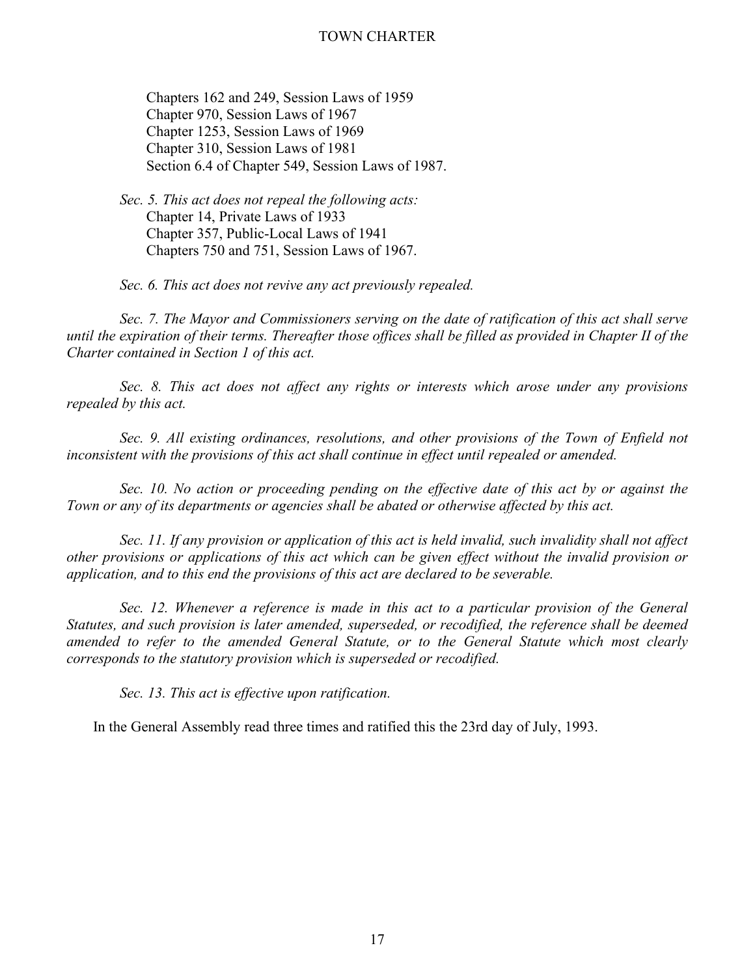Chapters 162 and 249, Session Laws of 1959 Chapter 970, Session Laws of 1967 Chapter 1253, Session Laws of 1969 Chapter 310, Session Laws of 1981 Section 6.4 of Chapter 549, Session Laws of 1987.

 *Sec. 5. This act does not repeal the following acts:* Chapter 14, Private Laws of 1933 Chapter 357, Public-Local Laws of 1941 Chapters 750 and 751, Session Laws of 1967.

*Sec. 6. This act does not revive any act previously repealed.* 

 *Sec. 7. The Mayor and Commissioners serving on the date of ratification of this act shall serve until the expiration of their terms. Thereafter those offices shall be filled as provided in Chapter II of the Charter contained in Section 1 of this act.* 

 *Sec. 8. This act does not affect any rights or interests which arose under any provisions repealed by this act.*

 *Sec. 9. All existing ordinances, resolutions, and other provisions of the Town of Enfield not inconsistent with the provisions of this act shall continue in effect until repealed or amended.* 

 *Sec. 10. No action or proceeding pending on the effective date of this act by or against the Town or any of its departments or agencies shall be abated or otherwise affected by this act.* 

 *Sec. 11. If any provision or application of this act is held invalid, such invalidity shall not affect other provisions or applications of this act which can be given effect without the invalid provision or application, and to this end the provisions of this act are declared to be severable.* 

 *Sec. 12. Whenever a reference is made in this act to a particular provision of the General Statutes, and such provision is later amended, superseded, or recodified, the reference shall be deemed amended to refer to the amended General Statute, or to the General Statute which most clearly corresponds to the statutory provision which is superseded or recodified.* 

 *Sec. 13. This act is effective upon ratification.* 

In the General Assembly read three times and ratified this the 23rd day of July, 1993.